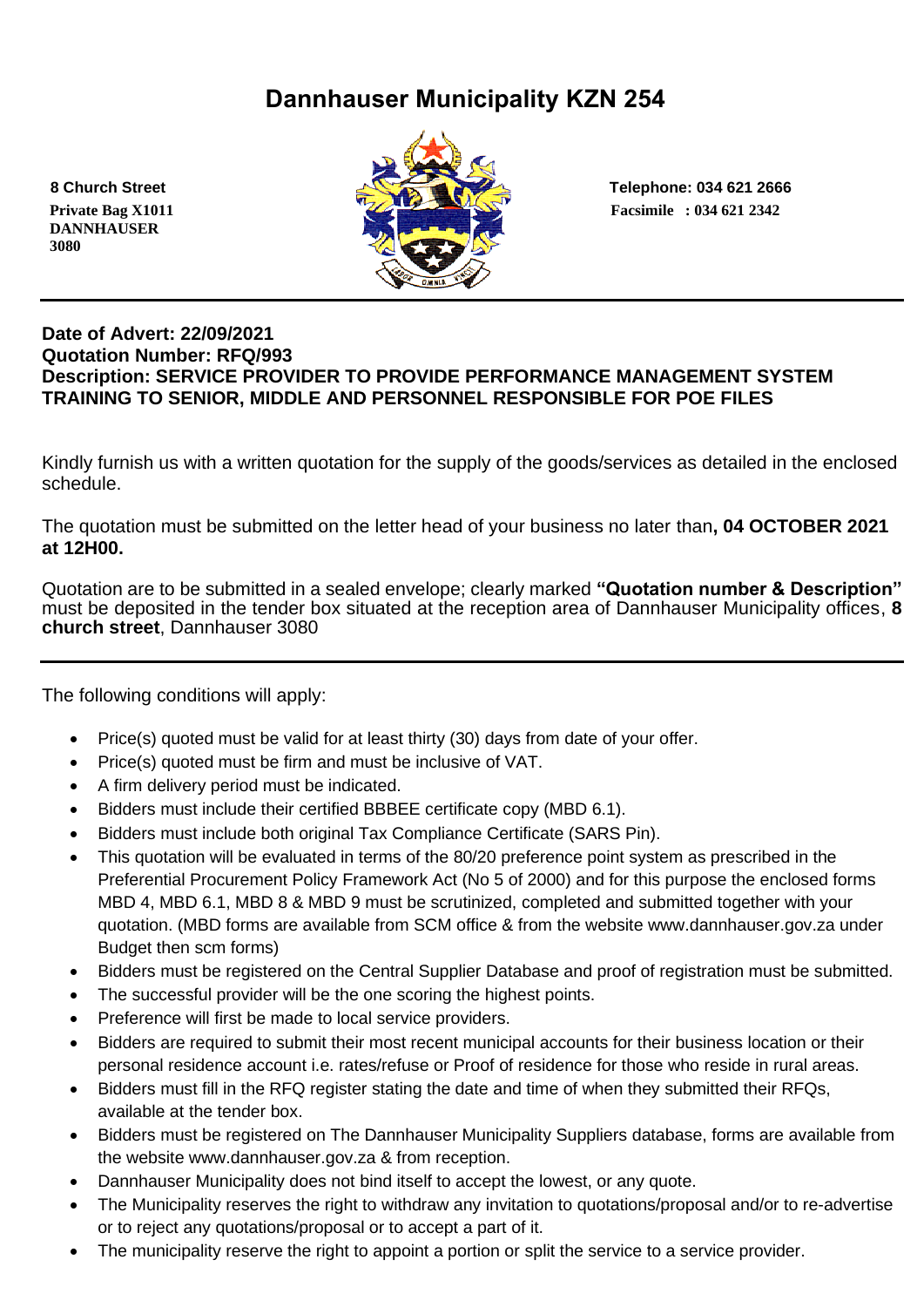# **Dannhauser Municipality KZN 254**

 **DANNHAUSER 3080** 



 **8 Church Street Telephone: 034 621 2666**

### **Date of Advert: 22/09/2021 Quotation Number: RFQ/993 Description: SERVICE PROVIDER TO PROVIDE PERFORMANCE MANAGEMENT SYSTEM TRAINING TO SENIOR, MIDDLE AND PERSONNEL RESPONSIBLE FOR POE FILES**

Kindly furnish us with a written quotation for the supply of the goods/services as detailed in the enclosed schedule.

The quotation must be submitted on the letter head of your business no later than**, 04 OCTOBER 2021 at 12H00.**

Quotation are to be submitted in a sealed envelope; clearly marked **"Quotation number & Description"** must be deposited in the tender box situated at the reception area of Dannhauser Municipality offices, **8 church street**, Dannhauser 3080

The following conditions will apply:

- Price(s) quoted must be valid for at least thirty (30) days from date of your offer.
- Price(s) quoted must be firm and must be inclusive of VAT.
- A firm delivery period must be indicated.
- Bidders must include their certified BBBEE certificate copy (MBD 6.1).
- Bidders must include both original Tax Compliance Certificate (SARS Pin).
- This quotation will be evaluated in terms of the 80/20 preference point system as prescribed in the Preferential Procurement Policy Framework Act (No 5 of 2000) and for this purpose the enclosed forms MBD 4, MBD 6.1, MBD 8 & MBD 9 must be scrutinized, completed and submitted together with your quotation. (MBD forms are available from SCM office & from the website www.dannhauser.gov.za under Budget then scm forms)
- Bidders must be registered on the Central Supplier Database and proof of registration must be submitted.
- The successful provider will be the one scoring the highest points.
- Preference will first be made to local service providers.
- Bidders are required to submit their most recent municipal accounts for their business location or their personal residence account i.e. rates/refuse or Proof of residence for those who reside in rural areas.
- Bidders must fill in the RFQ register stating the date and time of when they submitted their RFQs, available at the tender box.
- Bidders must be registered on The Dannhauser Municipality Suppliers database, forms are available from the website www.dannhauser.gov.za & from reception.
- Dannhauser Municipality does not bind itself to accept the lowest, or any quote.
- The Municipality reserves the right to withdraw any invitation to quotations/proposal and/or to re-advertise or to reject any quotations/proposal or to accept a part of it.
- The municipality reserve the right to appoint a portion or split the service to a service provider.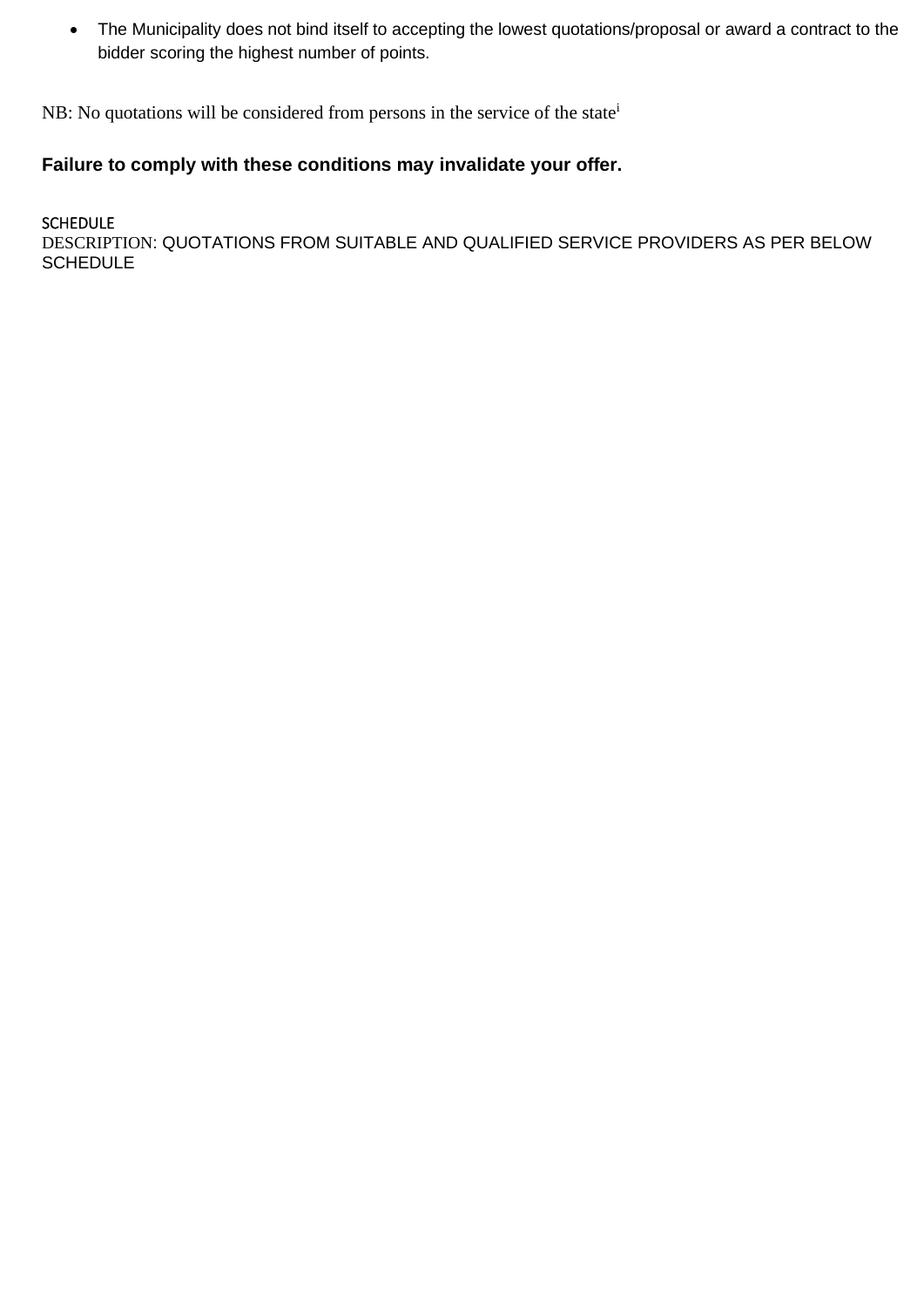• The Municipality does not bind itself to accepting the lowest quotations/proposal or award a contract to the bidder scoring the highest number of points.

NB: No quotations will be considered from persons in the service of the state<sup>i</sup>

# **Failure to comply with these conditions may invalidate your offer.**

#### SCHEDULE

DESCRIPTION: QUOTATIONS FROM SUITABLE AND QUALIFIED SERVICE PROVIDERS AS PER BELOW **SCHEDULE**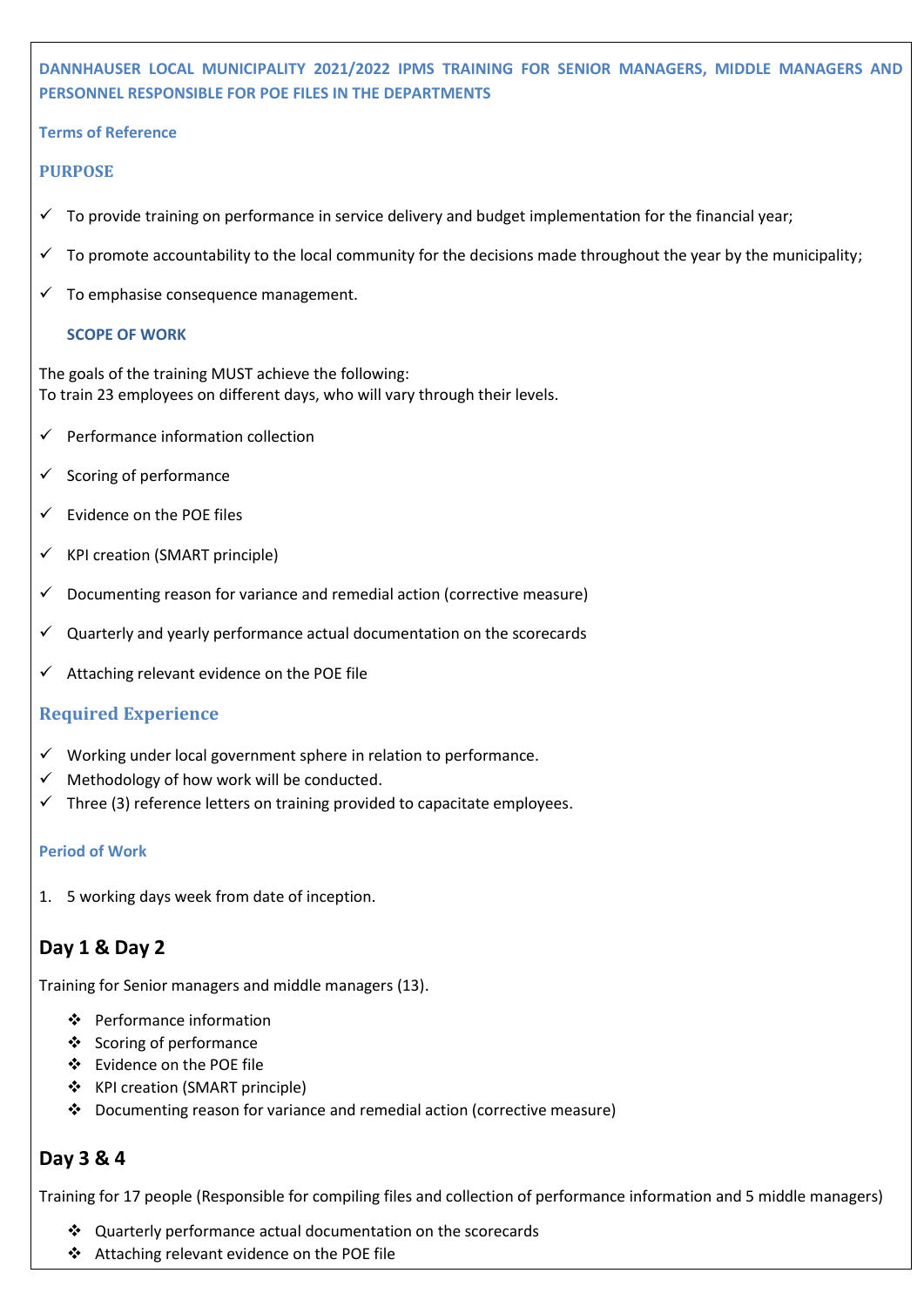## **DANNHAUSER LOCAL MUNICIPALITY 2021/2022 IPMS TRAINING FOR SENIOR MANAGERS, MIDDLE MANAGERS AND PERSONNEL RESPONSIBLE FOR POE FILES IN THE DEPARTMENTS**

#### **Terms of Reference**

#### **PURPOSE**

- $\checkmark$  To provide training on performance in service delivery and budget implementation for the financial year;
- To promote accountability to the local community for the decisions made throughout the year by the municipality;
- $\checkmark$  To emphasise consequence management.

#### **SCOPE OF WORK**

The goals of the training MUST achieve the following: To train 23 employees on different days, who will vary through their levels.

- ✓ Performance information collection
- $\checkmark$  Scoring of performance
- $\checkmark$  Evidence on the POE files
- $\checkmark$  KPI creation (SMART principle)
- $\checkmark$  Documenting reason for variance and remedial action (corrective measure)
- ✓ Quarterly and yearly performance actual documentation on the scorecards
- $\checkmark$  Attaching relevant evidence on the POE file

#### **Required Experience**

- $\checkmark$  Working under local government sphere in relation to performance.
- $\checkmark$  Methodology of how work will be conducted.
- Three (3) reference letters on training provided to capacitate employees.

#### **Period of Work**

1. 5 working days week from date of inception.

### **Day 1 & Day 2**

Training for Senior managers and middle managers (13).

- ❖ Performance information
- ❖ Scoring of performance
- ❖ Evidence on the POE file
- ❖ KPI creation (SMART principle)
- ❖ Documenting reason for variance and remedial action (corrective measure)

### **Day 3 & 4**

Training for 17 people (Responsible for compiling files and collection of performance information and 5 middle managers)

- ❖ Quarterly performance actual documentation on the scorecards
- ❖ Attaching relevant evidence on the POE file